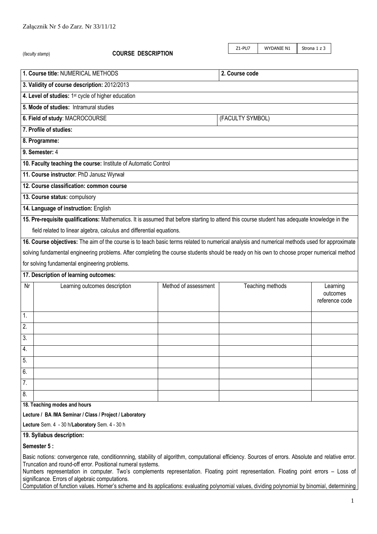|                                                                                                                                                                                                                                                                                                                                                                                                                                                                                                                                                                  | (faculty stamp)                                                                                                                               | <b>COURSE DESCRIPTION</b> |                      |  | Z1-PU7 | WYDANIE N1       | Strona 1 z 3 |                                        |
|------------------------------------------------------------------------------------------------------------------------------------------------------------------------------------------------------------------------------------------------------------------------------------------------------------------------------------------------------------------------------------------------------------------------------------------------------------------------------------------------------------------------------------------------------------------|-----------------------------------------------------------------------------------------------------------------------------------------------|---------------------------|----------------------|--|--------|------------------|--------------|----------------------------------------|
|                                                                                                                                                                                                                                                                                                                                                                                                                                                                                                                                                                  |                                                                                                                                               |                           |                      |  |        |                  |              |                                        |
|                                                                                                                                                                                                                                                                                                                                                                                                                                                                                                                                                                  | 1. Course title: NUMERICAL METHODS<br>2. Course code                                                                                          |                           |                      |  |        |                  |              |                                        |
| 3. Validity of course description: 2012/2013                                                                                                                                                                                                                                                                                                                                                                                                                                                                                                                     |                                                                                                                                               |                           |                      |  |        |                  |              |                                        |
| 4. Level of studies: 1 <sup>st</sup> cycle of higher education                                                                                                                                                                                                                                                                                                                                                                                                                                                                                                   |                                                                                                                                               |                           |                      |  |        |                  |              |                                        |
| 5. Mode of studies: Intramural studies                                                                                                                                                                                                                                                                                                                                                                                                                                                                                                                           |                                                                                                                                               |                           |                      |  |        |                  |              |                                        |
|                                                                                                                                                                                                                                                                                                                                                                                                                                                                                                                                                                  | 6. Field of study: MACROCOURSE<br>(FACULTY SYMBOL)                                                                                            |                           |                      |  |        |                  |              |                                        |
|                                                                                                                                                                                                                                                                                                                                                                                                                                                                                                                                                                  | 7. Profile of studies:                                                                                                                        |                           |                      |  |        |                  |              |                                        |
| 8. Programme:                                                                                                                                                                                                                                                                                                                                                                                                                                                                                                                                                    |                                                                                                                                               |                           |                      |  |        |                  |              |                                        |
| 9. Semester: 4                                                                                                                                                                                                                                                                                                                                                                                                                                                                                                                                                   |                                                                                                                                               |                           |                      |  |        |                  |              |                                        |
| 10. Faculty teaching the course: Institute of Automatic Control                                                                                                                                                                                                                                                                                                                                                                                                                                                                                                  |                                                                                                                                               |                           |                      |  |        |                  |              |                                        |
|                                                                                                                                                                                                                                                                                                                                                                                                                                                                                                                                                                  | 11. Course instructor: PhD Janusz Wyrwał                                                                                                      |                           |                      |  |        |                  |              |                                        |
|                                                                                                                                                                                                                                                                                                                                                                                                                                                                                                                                                                  | 12. Course classification: common course                                                                                                      |                           |                      |  |        |                  |              |                                        |
|                                                                                                                                                                                                                                                                                                                                                                                                                                                                                                                                                                  | 13. Course status: compulsory                                                                                                                 |                           |                      |  |        |                  |              |                                        |
|                                                                                                                                                                                                                                                                                                                                                                                                                                                                                                                                                                  | 14. Language of instruction: English                                                                                                          |                           |                      |  |        |                  |              |                                        |
|                                                                                                                                                                                                                                                                                                                                                                                                                                                                                                                                                                  | 15. Pre-requisite qualifications: Mathematics. It is assumed that before starting to attend this course student has adequate knowledge in the |                           |                      |  |        |                  |              |                                        |
|                                                                                                                                                                                                                                                                                                                                                                                                                                                                                                                                                                  | field related to linear algebra, calculus and differential equations.                                                                         |                           |                      |  |        |                  |              |                                        |
|                                                                                                                                                                                                                                                                                                                                                                                                                                                                                                                                                                  | 16. Course objectives: The aim of the course is to teach basic terms related to numerical analysis and numerical methods used for approximate |                           |                      |  |        |                  |              |                                        |
| solving fundamental engineering problems. After completing the course students should be ready on his own to choose proper numerical method                                                                                                                                                                                                                                                                                                                                                                                                                      |                                                                                                                                               |                           |                      |  |        |                  |              |                                        |
|                                                                                                                                                                                                                                                                                                                                                                                                                                                                                                                                                                  | for solving fundamental engineering problems.                                                                                                 |                           |                      |  |        |                  |              |                                        |
|                                                                                                                                                                                                                                                                                                                                                                                                                                                                                                                                                                  | 17. Description of learning outcomes:                                                                                                         |                           |                      |  |        |                  |              |                                        |
| Nr                                                                                                                                                                                                                                                                                                                                                                                                                                                                                                                                                               | Learning outcomes description                                                                                                                 |                           | Method of assessment |  |        | Teaching methods |              | Learning<br>outcomes<br>reference code |
| 1.                                                                                                                                                                                                                                                                                                                                                                                                                                                                                                                                                               |                                                                                                                                               |                           |                      |  |        |                  |              |                                        |
| $\mathfrak{D}$                                                                                                                                                                                                                                                                                                                                                                                                                                                                                                                                                   |                                                                                                                                               |                           |                      |  |        |                  |              |                                        |
| 3.                                                                                                                                                                                                                                                                                                                                                                                                                                                                                                                                                               |                                                                                                                                               |                           |                      |  |        |                  |              |                                        |
| 4.                                                                                                                                                                                                                                                                                                                                                                                                                                                                                                                                                               |                                                                                                                                               |                           |                      |  |        |                  |              |                                        |
| 5.                                                                                                                                                                                                                                                                                                                                                                                                                                                                                                                                                               |                                                                                                                                               |                           |                      |  |        |                  |              |                                        |
| 6.                                                                                                                                                                                                                                                                                                                                                                                                                                                                                                                                                               |                                                                                                                                               |                           |                      |  |        |                  |              |                                        |
| 7.                                                                                                                                                                                                                                                                                                                                                                                                                                                                                                                                                               |                                                                                                                                               |                           |                      |  |        |                  |              |                                        |
| 8.                                                                                                                                                                                                                                                                                                                                                                                                                                                                                                                                                               |                                                                                                                                               |                           |                      |  |        |                  |              |                                        |
| 18. Teaching modes and hours                                                                                                                                                                                                                                                                                                                                                                                                                                                                                                                                     |                                                                                                                                               |                           |                      |  |        |                  |              |                                        |
|                                                                                                                                                                                                                                                                                                                                                                                                                                                                                                                                                                  | Lecture / BA /MA Seminar / Class / Project / Laboratory                                                                                       |                           |                      |  |        |                  |              |                                        |
| Lecture Sem. 4 - 30 h/Laboratory Sem. 4 - 30 h                                                                                                                                                                                                                                                                                                                                                                                                                                                                                                                   |                                                                                                                                               |                           |                      |  |        |                  |              |                                        |
| 19. Syllabus description:                                                                                                                                                                                                                                                                                                                                                                                                                                                                                                                                        |                                                                                                                                               |                           |                      |  |        |                  |              |                                        |
| Semester 5:                                                                                                                                                                                                                                                                                                                                                                                                                                                                                                                                                      |                                                                                                                                               |                           |                      |  |        |                  |              |                                        |
| Basic notions: convergence rate, conditionnning, stability of algorithm, computational efficiency. Sources of errors. Absolute and relative error.<br>Truncation and round-off error. Positional numeral systems.<br>Numbers representation in computer. Two's complements representation. Floating point representation. Floating point errors - Loss of<br>significance. Errors of algebraic computations.<br>Computation of function values. Horner's scheme and its applications: evaluating polynomial values, dividing polynomial by binomial, determining |                                                                                                                                               |                           |                      |  |        |                  |              |                                        |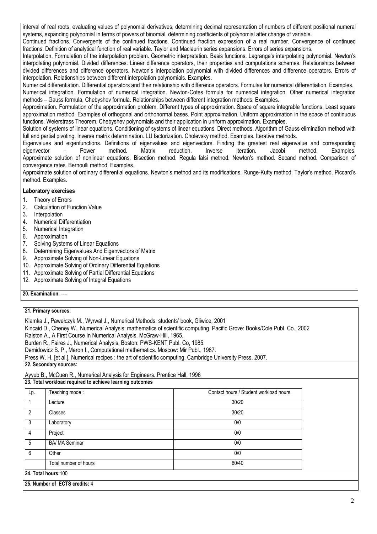interval of real roots, evaluating values of polynomial derivatives, determining decimal representation of numbers of different positional numeral systems, expanding polynomial in terms of powers of binomial, determining coefficients of polynomial after change of variable.

Continued fractions. Convergents of the continued fractions. Continued fraction expression of a real number. Convergence of continued fractions. Definition of analytical function of real variable. Taylor and Maclaurin series expansions. Errors of series expansions.

Interpolation. Formulation of the interpolation problem. Geometric interpretation. Basis functions. Lagrange's interpolating polynomial. Newton's interpolating polynomial. Divided differences. Linear difference operators, their properties and computations schemes. Relationships between divided differences and difference operators. Newton's interpolation polynomial with divided differences and difference operators. Errors of interpolation. Relationships between different interpolation polynomials. Examples.

Numerical differentiation. Differential operators and their relationship with difference operators. Formulas for numerical differentiation. Examples. Numerical integration. Formulation of numerical integration. Newton-Cotes formula for numerical integration. Other numerical integration methods – Gauss formula, Chebyshev formula. Relationships between different integration methods. Examples.

Approximation. Formulation of the approximation problem. Different types of approximation. Space of square integrable functions. Least square approximation method. Examples of orthogonal and orthonormal bases. Point approximation. Uniform approximation in the space of continuous functions. Weierstrass Theorem. Chebyshev polynomials and their application in uniform approximation. Examples.

Solution of systems of linear equations. Conditioning of systems of linear equations. Direct methods. Algorithm of Gauss elimination method with full and partial pivoting. Inverse matrix determination. LU factorization. Cholevsky method. Examples. Iterative methods.

Eigenvalues and eigenfunctions. Definitions of eigenvalues and eigenvectors. Finding the greatest real eigenvalue and corresponding eigenvector - Power method. Matrix reduction. Inverse iteration. Jacobi method. Examples. eigenvector – Power method. Matrix reduction. Inverse iteration. Jacobi method. Examples. Approximate solution of nonlinear equations. Bisection method. Regula falsi method. Newton's method. Secand method. Comparison of convergence rates. Bernoulli method. Examples.

Approximate solution of ordinary differential equations. Newton's method and its modifications. Runge-Kutty method. Taylor's method. Piccard's method. Examples.

## **Laboratory exercises**

- 1. Theory of Errors
- 2. Calculation of Function Value
- 3. Interpolation
- 4. Numerical Differentiation
- 5. Numerical Integration
- 6. Approximation
- 7. Solving Systems of Linear Equations
- 8. Determining Eigenvalues And Eigenvectors of Matrix
- 9. Approximate Solving of Non-Linear Equations
- 10. Approximate Solving of Ordinary Differential Equations
- 11. Approximate Solving of Partial Differential Equations
- 12. Approximate Solving of Integral Equations

**20. Examination:** ----

Klamka J., Pawełczyk M., Wyrwał J., Numerical Methods. students' book, Gliwice, 2001

Kincaid D., Cheney W., Numerical Analysis: mathematics of scientific computing. Pacific Grove: Books/Cole Publ. Co., 2002

Ralston A., A First Course In Numerical Analysis. McGraw-Hill, 1965.

Burden R., Faires J., Numerical Analysis. Boston: PWS-KENT Publ. Co, 1985.

Demidowicz B. P., Maron I., Computational mathematics. Moscow: Mir Publ., 1987.

Press W. H. [et al.], Numerical recipes : the art of scientific computing. Cambridge University Press, 2007.

**22. Secondary sources:**

Ayyub B., McCuen R., Numerical Analysis for Engineers. Prentice Hall, 1996

| 23. Total workload required to achieve learning outcomes |  |  |
|----------------------------------------------------------|--|--|

| Lp. | Teaching mode:                | Contact hours / Student workload hours |
|-----|-------------------------------|----------------------------------------|
|     | Lecture                       | 30/20                                  |
| 2   | Classes                       | 30/20                                  |
| 3   | Laboratory                    | 0/0                                    |
| 4   | Project                       | 0/0                                    |
| 5   | <b>BA/ MA Seminar</b>         | 0/0                                    |
| 6   | Other                         | 0/0                                    |
|     | Total number of hours         | 60/40                                  |
|     | 24. Total hours: 100          |                                        |
|     | 25. Number of ECTS credits: 4 |                                        |